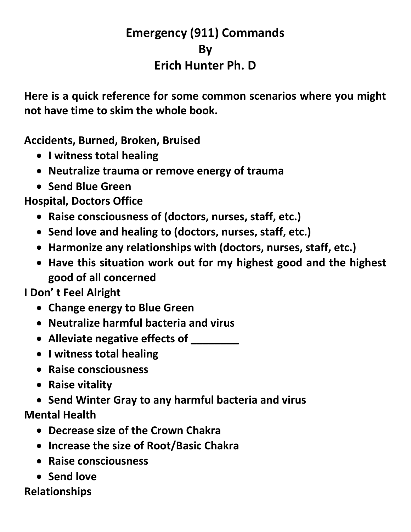## **Emergency (911) Commands By Erich Hunter Ph. D**

**Here is a quick reference for some common scenarios where you might not have time to skim the whole book.**

**Accidents, Burned, Broken, Bruised**

- **I witness total healing**
- **Neutralize trauma or remove energy of trauma**
- **Send Blue Green**

**Hospital, Doctors Office**

- **Raise consciousness of (doctors, nurses, staff, etc.)**
- **Send love and healing to (doctors, nurses, staff, etc.)**
- **Harmonize any relationships with (doctors, nurses, staff, etc.)**
- **Have this situation work out for my highest good and the highest good of all concerned**

**I Don' t Feel Alright**

- **Change energy to Blue Green**
- **Neutralize harmful bacteria and virus**
- **Alleviate negative effects of \_\_\_\_\_\_\_\_**
- **I witness total healing**
- **Raise consciousness**
- **Raise vitality**
- **Send Winter Gray to any harmful bacteria and virus Mental Health**
	- **Decrease size of the Crown Chakra**
	- **Increase the size of Root/Basic Chakra**
	- **Raise consciousness**
	- **Send love**

## **Relationships**